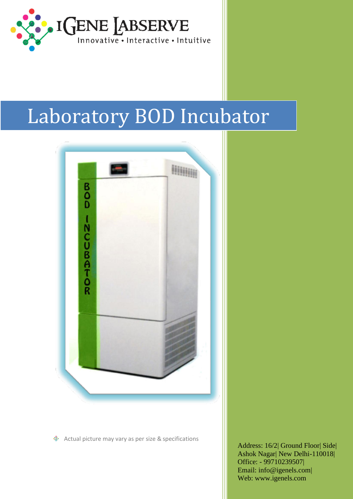

# Laboratory BOD Incubator



◈ Actual picture may vary as per size & specifications

Address: 16/2| Ground Floor| Side| Ashok Nagar| New Delhi-110018| Office: - 99710239507| Email: [info@igenels.com|](mailto:info@igenels.com)  Web: [www.igenels.com](http://www.igenels.com/)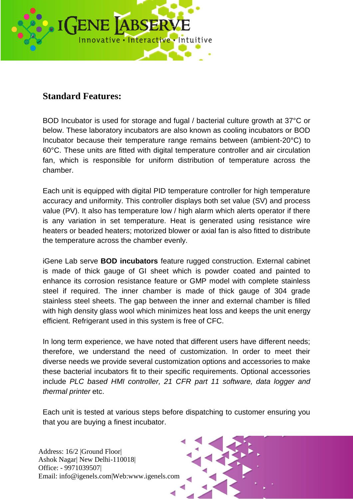

### **Standard Features:**

BOD Incubator is used for storage and fugal / bacterial culture growth at 37°C or below. These laboratory incubators are also known as cooling incubators or BOD Incubator because their temperature range remains between (ambient-20°C) to 60°C. These units are fitted with digital temperature controller and air circulation fan, which is responsible for uniform distribution of temperature across the chamber.

Each unit is equipped with digital PID temperature controller for high temperature accuracy and uniformity. This controller displays both set value (SV) and process value (PV). It also has temperature low / high alarm which alerts operator if there is any variation in set temperature. Heat is generated using resistance wire heaters or beaded heaters; motorized blower or axial fan is also fitted to distribute the temperature across the chamber evenly.

iGene Lab serve **BOD incubators** feature rugged construction. External cabinet is made of thick gauge of GI sheet which is powder coated and painted to enhance its corrosion resistance feature or GMP model with complete stainless steel if required. The inner chamber is made of thick gauge of 304 grade stainless steel sheets. The gap between the inner and external chamber is filled with high density glass wool which minimizes heat loss and keeps the unit energy efficient. Refrigerant used in this system is free of CFC.

In long term experience, we have noted that different users have different needs; therefore, we understand the need of customization. In order to meet their diverse needs we provide several customization options and accessories to make these bacterial incubators fit to their specific requirements. Optional accessories include *PLC based HMI controller, 21 CFR part 11 software, data logger and thermal printer* etc.

Each unit is tested at various steps before dispatching to customer ensuring you that you are buying a finest incubator.

Address: 16/2 |Ground Floor| Ashok Nagar| New Delhi-110018| Office: - 9971039507| Email: info@igenels.com|Web:www.igenels.com

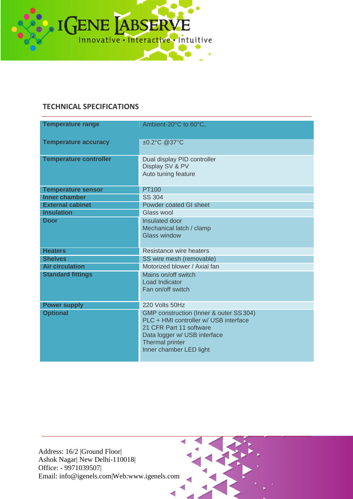

#### **TECHNICAL SPECIFICATIONS**

| <b>Temperature range</b>      | Ambient-20°C to 60°C,                                                                                                                                                                     |  |  |
|-------------------------------|-------------------------------------------------------------------------------------------------------------------------------------------------------------------------------------------|--|--|
| <b>Temperature accuracy</b>   | ±0.2°C @37°C                                                                                                                                                                              |  |  |
| <b>Temperature controller</b> | Dual display PID controller<br>Display SV & PV<br>Auto tuning feature                                                                                                                     |  |  |
| <b>Temperature sensor</b>     | <b>PT100</b>                                                                                                                                                                              |  |  |
| <b>Inner chamber</b>          | <b>SS 304</b>                                                                                                                                                                             |  |  |
| <b>External cabinet</b>       | Powder coated GI sheet                                                                                                                                                                    |  |  |
| <b>Insulation</b>             | Glass wool                                                                                                                                                                                |  |  |
| <b>Door</b>                   | Insulated door<br>Mechanical latch / clamp<br><b>Glass window</b>                                                                                                                         |  |  |
| <b>Heaters</b>                | Resistance wire heaters                                                                                                                                                                   |  |  |
| <b>Shelves</b>                | SS wire mesh (removable)                                                                                                                                                                  |  |  |
| <b>Air circulation</b>        | Motorized blower / Axial fan                                                                                                                                                              |  |  |
| <b>Standard fittings</b>      | Mains on/off switch<br><b>Load Indicator</b><br>Fan on/off switch                                                                                                                         |  |  |
| <b>Power supply</b>           | 220 Volts 50Hz                                                                                                                                                                            |  |  |
| <b>Optional</b>               | GMP construction (Inner & outer SS 304)<br>PLC + HMI controller w/ USB interface<br>21 CFR Part 11 software<br>Data logger w/ USB interface<br>Thermal printer<br>Inner chamber LED light |  |  |

Address: 16/2 |Ground Floor| Ashok Nagar| New Delhi-110018| Office: - 9971039507| Email: [info@igenels.com|](mailto:info@igenels.com)Web[:www.igenels.com](http://www.igenels.com/)